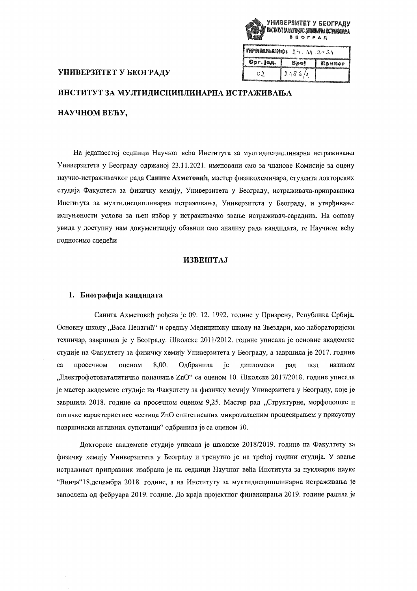

| примљено:<br>5020092929300000000000 | 2.9.11.2021 |        |
|-------------------------------------|-------------|--------|
| Opr. Jeg.                           | <b>Spo!</b> | Примог |
| OI.                                 | 2086/1      |        |

## УНИВЕРЗИТЕТ У БЕОГРАДУ

# ИНСТИТУТ ЗА МУЛТИДИСЦИПЛИНАРНА ИСТРАЖИВАЊА

# НАУЧНОМ ВЕЋУ,

На једанаестој седници Научног већа Института за мултидисциплинарна истраживања Универзитета у Београду одржаној 23.11.2021. именовани смо за чланове Комисије за оцену научно-истраживачког рада Саните Ахметовић, мастер физикохемичара, студента докторских студија Факултета за физичку хемију, Универзитета у Београду, истраживача-приправника Института за мултидисциплинарна истраживања, Универзитета у Београду, и утврђивање испуњености услова за њен избор у истраживачко звање истраживач-сарадник. На основу увида у доступну нам документацију обавили смо анализу рада кандидата, те Научном већу подносимо следећи

## **ИЗВЕШТАЈ**

#### 1. Биографија кандидата

Санита Ахметовић рођена је 09. 12. 1992. године у Призрену, Република Србија. Основну школу "Васа Пелагић" и средњу Медицинску школу на Звездари, као лабораторијски техничар, завршила је у Београду. Школске 2011/2012. године уписала је основне академске студије на Факултету за физичку хемију Универзитета у Београду, а завршила је 2017. године ca просечном оценом 8,00. Одбранила ie липломски рад пол називом "Електрофотокаталитичко понашање ZnO" са оценом 10. Школске 2017/2018. године уписала је мастер академске студије на Факултету за физичку хемију Универзитета у Београду, које је завршила 2018. године са просечном оценом 9,25. Мастер рад "Структурне, морфолошке и оптичке карактеристике честица ZnO синтетисаних микроталасним процесирањем у присуству површински активних супстанци" одбранила је са оценом 10.

Докторске академске студије уписала је школске 2018/2019. године на Факултету за физичку хемију Универзитета у Београду и тренутно је на трећој години студија. У звање истраживач приправник изабрана је на седници Научног већа Института за нуклеарне науке "Винча"18. децембра 2018. године, а на Институту за мултидисципплинарна истраживања је запослена од фебруара 2019. године. До краја пројектног финансирања 2019. године радила је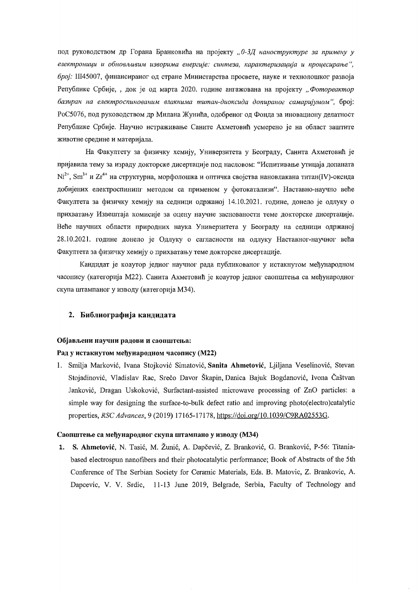под руководством др Горана Бранковића на пројекту "0-3Д наноструктуре за примену у електроници и обновљивим изворима енергије: синтеза, карактеризација и процесирање", број: III45007, финансираног од стране Министарства просвете, науке и технолошког развоја Републике Србије, , док је од марта 2020. године ангажована на пројекту "Фотореактор базиран на електроспинованим влакнима титан-диоксида допираног самаријумом", број: РоС5076, под руководством др Милана Жунића, одобреног од Фонда за иновациону делатност Републике Србије. Научно истраживање Саните Ахметовић усмерено је на област заштите животне средине и материјала.

На Факултету за физичку хемију, Универзитета у Београду, Санита Ахметовић је пријавила тему за израду докторске дисертације под насловом: "Испитивање утицаја допаната  $Ni^{2+}$ , Sm<sup>3+</sup> и Zr<sup>4+</sup> на структурна, морфолошка и оптичка својства нановлакана титан(IV)-оксида добијених електроспининг методом са применом у фотокатализи". Наставно-научно веће Факултета за физичку хемију на седници одржаној 14.10.2021. године, донело је одлуку о прихватању Извештаја комисије за оцену научне заснованости теме докторске дисертације. Веће научних области природних наука Универзитета у Београду на седници одржаној 28.10.2021. године донело је Одлуку о сагласности на одлуку Наставног-научног већа Факултета за физичку хемију о прихватању теме докторске дисертације.

Кандидат је коаутор једног научног рада публикованог у истакнутом међународном часопису (категорија М22). Санита Ахметовић је коаутор једног саопштења са међународног скупа штампаног у изводу (категорија М34).

#### 2. Библиографија кандидата

## Објављени научни радови и саопштења:

## Рад у истакнутом међународном часопису (М22)

1. Smilja Marković, Ivana Stojković Simatović, Sanita Ahmetović, Ljiljana Veselinović, Stevan Stojadinović, Vladislav Rac, Srečo Davor Škapin, Danica Bajuk Bogdanović, Ivona Čaštvan Janković, Dragan Uskoković, Surfactant-assisted microwave processing of ZnO particles: a simple way for designing the surface-to-bulk defect ratio and improving photo(electro)catalytic properties, RSC Advances, 9 (2019) 17165-17178, https://doi.org/10.1039/C9RA02553G.

## Саопштење са међународног скупа штампано у изводу (МЗ4)

1. S. Ahmetović, N. Tasić, M. Žunić, A. Dapčević, Z. Branković, G. Branković, P-56: Titaniabased electrospun nanofibers and their photocatalytic performance; Book of Abstracts of the 5th Conference of The Serbian Society for Ceramic Materials, Eds. B. Matovic, Z. Brankovic, A. Dapcevic, V. V. Srdic, 11-13 June 2019, Belgrade, Serbia, Faculty of Technology and